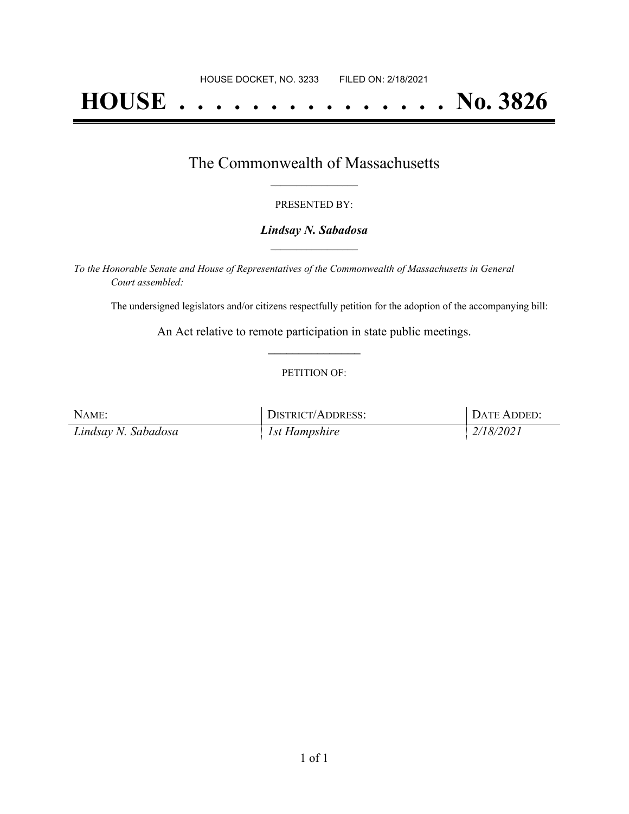# **HOUSE . . . . . . . . . . . . . . . No. 3826**

### The Commonwealth of Massachusetts **\_\_\_\_\_\_\_\_\_\_\_\_\_\_\_\_\_**

#### PRESENTED BY:

#### *Lindsay N. Sabadosa* **\_\_\_\_\_\_\_\_\_\_\_\_\_\_\_\_\_**

*To the Honorable Senate and House of Representatives of the Commonwealth of Massachusetts in General Court assembled:*

The undersigned legislators and/or citizens respectfully petition for the adoption of the accompanying bill:

An Act relative to remote participation in state public meetings. **\_\_\_\_\_\_\_\_\_\_\_\_\_\_\_**

#### PETITION OF:

| NAME:               | DISTRICT/ADDRESS: | DATE ADDED: |
|---------------------|-------------------|-------------|
| Lindsay N. Sabadosa | 1st Hampshire     | 2/18/2021   |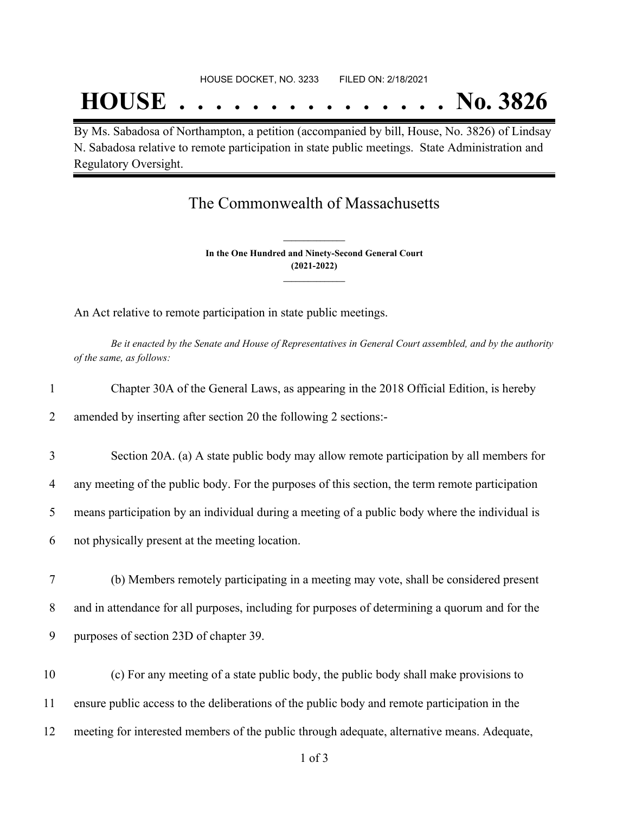## **HOUSE . . . . . . . . . . . . . . . No. 3826**

By Ms. Sabadosa of Northampton, a petition (accompanied by bill, House, No. 3826) of Lindsay N. Sabadosa relative to remote participation in state public meetings. State Administration and Regulatory Oversight.

## The Commonwealth of Massachusetts

**In the One Hundred and Ninety-Second General Court (2021-2022) \_\_\_\_\_\_\_\_\_\_\_\_\_\_\_**

**\_\_\_\_\_\_\_\_\_\_\_\_\_\_\_**

An Act relative to remote participation in state public meetings.

Be it enacted by the Senate and House of Representatives in General Court assembled, and by the authority *of the same, as follows:*

| $\mathbf{1}$   | Chapter 30A of the General Laws, as appearing in the 2018 Official Edition, is hereby           |  |
|----------------|-------------------------------------------------------------------------------------------------|--|
| 2              | amended by inserting after section 20 the following 2 sections:-                                |  |
| 3              | Section 20A. (a) A state public body may allow remote participation by all members for          |  |
| $\overline{4}$ | any meeting of the public body. For the purposes of this section, the term remote participation |  |
| 5              | means participation by an individual during a meeting of a public body where the individual is  |  |
| 6              | not physically present at the meeting location.                                                 |  |
| 7              | (b) Members remotely participating in a meeting may vote, shall be considered present           |  |
| 8              | and in attendance for all purposes, including for purposes of determining a quorum and for the  |  |
| 9              | purposes of section 23D of chapter 39.                                                          |  |
| 10             | (c) For any meeting of a state public body, the public body shall make provisions to            |  |
| 11             | ensure public access to the deliberations of the public body and remote participation in the    |  |
| 12             | meeting for interested members of the public through adequate, alternative means. Adequate,     |  |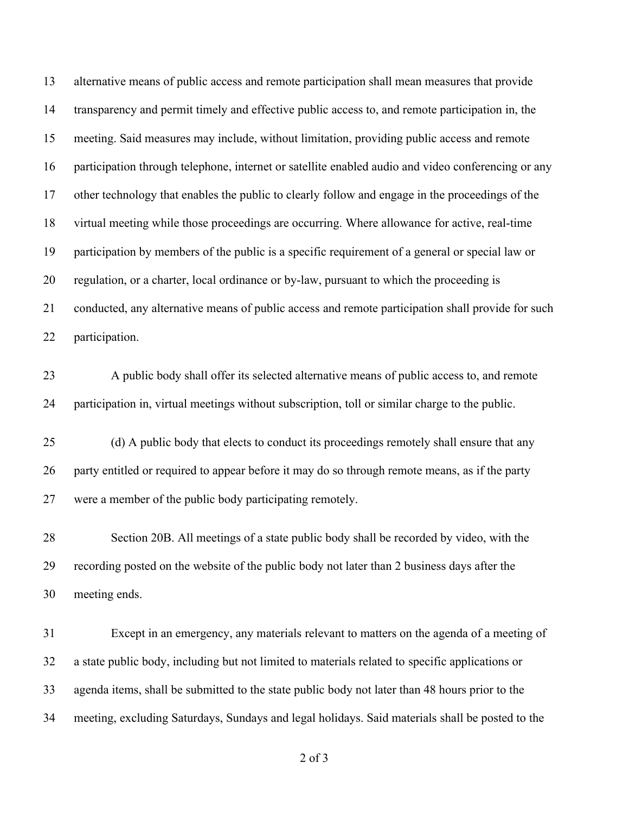alternative means of public access and remote participation shall mean measures that provide transparency and permit timely and effective public access to, and remote participation in, the meeting. Said measures may include, without limitation, providing public access and remote participation through telephone, internet or satellite enabled audio and video conferencing or any other technology that enables the public to clearly follow and engage in the proceedings of the virtual meeting while those proceedings are occurring. Where allowance for active, real-time participation by members of the public is a specific requirement of a general or special law or regulation, or a charter, local ordinance or by-law, pursuant to which the proceeding is conducted, any alternative means of public access and remote participation shall provide for such participation.

 A public body shall offer its selected alternative means of public access to, and remote participation in, virtual meetings without subscription, toll or similar charge to the public.

 (d) A public body that elects to conduct its proceedings remotely shall ensure that any party entitled or required to appear before it may do so through remote means, as if the party were a member of the public body participating remotely.

 Section 20B. All meetings of a state public body shall be recorded by video, with the recording posted on the website of the public body not later than 2 business days after the meeting ends.

 Except in an emergency, any materials relevant to matters on the agenda of a meeting of a state public body, including but not limited to materials related to specific applications or agenda items, shall be submitted to the state public body not later than 48 hours prior to the meeting, excluding Saturdays, Sundays and legal holidays. Said materials shall be posted to the

of 3